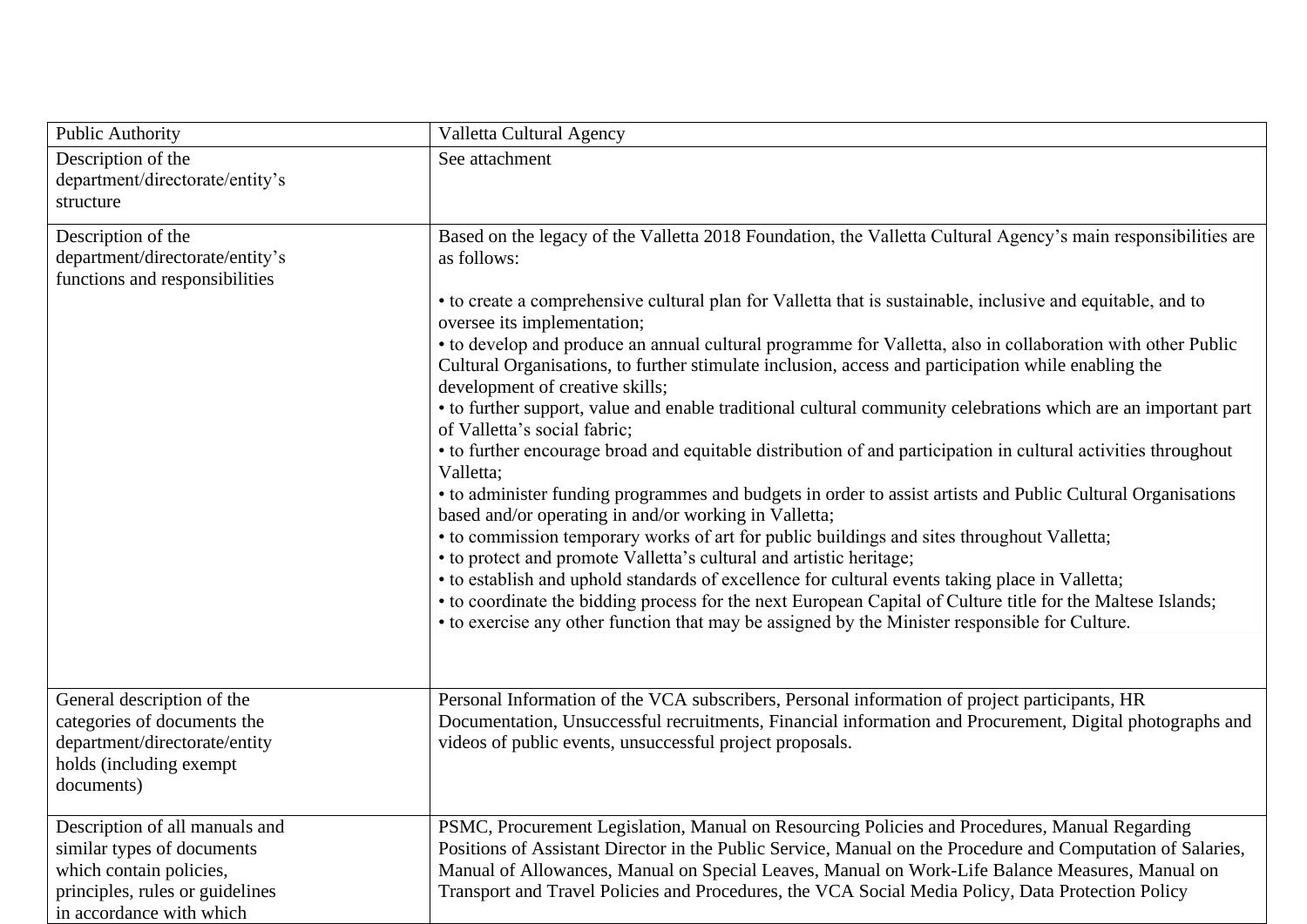| <b>Public Authority</b>                                                                                                                                | Valletta Cultural Agency                                                                                                                                                                                                                                                                                                                                                                                             |
|--------------------------------------------------------------------------------------------------------------------------------------------------------|----------------------------------------------------------------------------------------------------------------------------------------------------------------------------------------------------------------------------------------------------------------------------------------------------------------------------------------------------------------------------------------------------------------------|
| Description of the<br>department/directorate/entity's<br>structure                                                                                     | See attachment                                                                                                                                                                                                                                                                                                                                                                                                       |
| Description of the<br>department/directorate/entity's<br>functions and responsibilities                                                                | Based on the legacy of the Valletta 2018 Foundation, the Valletta Cultural Agency's main responsibilities are<br>as follows:                                                                                                                                                                                                                                                                                         |
|                                                                                                                                                        | • to create a comprehensive cultural plan for Valletta that is sustainable, inclusive and equitable, and to<br>oversee its implementation;                                                                                                                                                                                                                                                                           |
|                                                                                                                                                        | • to develop and produce an annual cultural programme for Valletta, also in collaboration with other Public<br>Cultural Organisations, to further stimulate inclusion, access and participation while enabling the<br>development of creative skills;                                                                                                                                                                |
|                                                                                                                                                        | • to further support, value and enable traditional cultural community celebrations which are an important part<br>of Valletta's social fabric;                                                                                                                                                                                                                                                                       |
|                                                                                                                                                        | • to further encourage broad and equitable distribution of and participation in cultural activities throughout<br>Valletta;                                                                                                                                                                                                                                                                                          |
|                                                                                                                                                        | • to administer funding programmes and budgets in order to assist artists and Public Cultural Organisations<br>based and/or operating in and/or working in Valletta;                                                                                                                                                                                                                                                 |
|                                                                                                                                                        | • to commission temporary works of art for public buildings and sites throughout Valletta;<br>• to protect and promote Valletta's cultural and artistic heritage;                                                                                                                                                                                                                                                    |
|                                                                                                                                                        | • to establish and uphold standards of excellence for cultural events taking place in Valletta;<br>• to coordinate the bidding process for the next European Capital of Culture title for the Maltese Islands;<br>• to exercise any other function that may be assigned by the Minister responsible for Culture.                                                                                                     |
|                                                                                                                                                        |                                                                                                                                                                                                                                                                                                                                                                                                                      |
| General description of the<br>categories of documents the<br>department/directorate/entity<br>holds (including exempt<br>documents)                    | Personal Information of the VCA subscribers, Personal information of project participants, HR<br>Documentation, Unsuccessful recruitments, Financial information and Procurement, Digital photographs and<br>videos of public events, unsuccessful project proposals.                                                                                                                                                |
| Description of all manuals and<br>similar types of documents<br>which contain policies,<br>principles, rules or guidelines<br>in accordance with which | PSMC, Procurement Legislation, Manual on Resourcing Policies and Procedures, Manual Regarding<br>Positions of Assistant Director in the Public Service, Manual on the Procedure and Computation of Salaries,<br>Manual of Allowances, Manual on Special Leaves, Manual on Work-Life Balance Measures, Manual on<br>Transport and Travel Policies and Procedures, the VCA Social Media Policy, Data Protection Policy |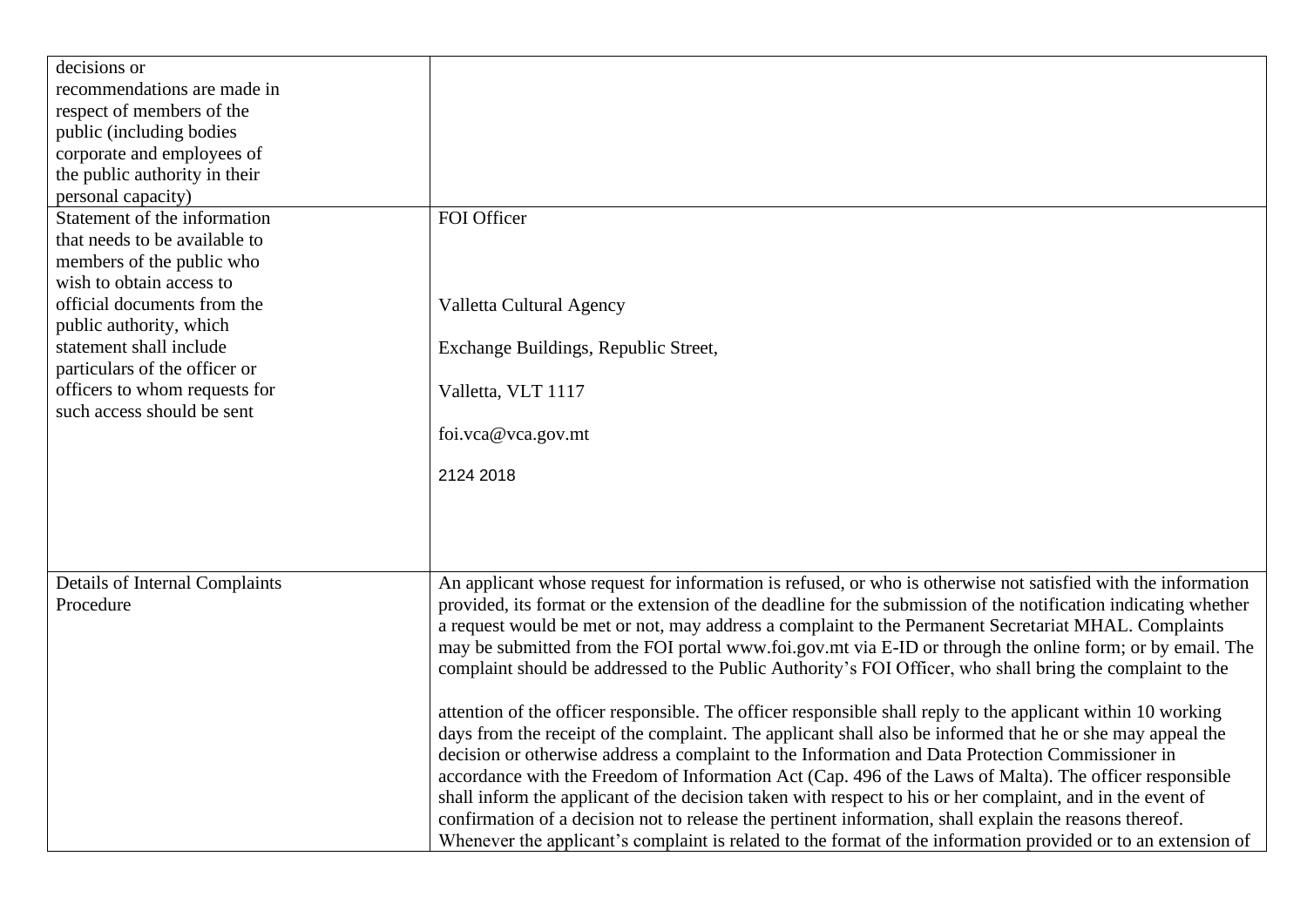| decisions or<br>recommendations are made in<br>respect of members of the<br>public (including bodies<br>corporate and employees of<br>the public authority in their<br>personal capacity)<br>Statement of the information<br>that needs to be available to<br>members of the public who<br>wish to obtain access to | FOI Officer                                                                                                                                                                                                                                                                                                                                                                                                                                                                                                                                                                                                                                                                                                                                                                         |
|---------------------------------------------------------------------------------------------------------------------------------------------------------------------------------------------------------------------------------------------------------------------------------------------------------------------|-------------------------------------------------------------------------------------------------------------------------------------------------------------------------------------------------------------------------------------------------------------------------------------------------------------------------------------------------------------------------------------------------------------------------------------------------------------------------------------------------------------------------------------------------------------------------------------------------------------------------------------------------------------------------------------------------------------------------------------------------------------------------------------|
| official documents from the<br>public authority, which<br>statement shall include<br>particulars of the officer or                                                                                                                                                                                                  | Valletta Cultural Agency<br>Exchange Buildings, Republic Street,                                                                                                                                                                                                                                                                                                                                                                                                                                                                                                                                                                                                                                                                                                                    |
| officers to whom requests for<br>such access should be sent                                                                                                                                                                                                                                                         | Valletta, VLT 1117<br>foi.vca@vca.gov.mt                                                                                                                                                                                                                                                                                                                                                                                                                                                                                                                                                                                                                                                                                                                                            |
|                                                                                                                                                                                                                                                                                                                     | 2124 2018                                                                                                                                                                                                                                                                                                                                                                                                                                                                                                                                                                                                                                                                                                                                                                           |
| Details of Internal Complaints<br>Procedure                                                                                                                                                                                                                                                                         | An applicant whose request for information is refused, or who is otherwise not satisfied with the information<br>provided, its format or the extension of the deadline for the submission of the notification indicating whether<br>a request would be met or not, may address a complaint to the Permanent Secretariat MHAL. Complaints<br>may be submitted from the FOI portal www.foi.gov.mt via E-ID or through the online form; or by email. The<br>complaint should be addressed to the Public Authority's FOI Officer, who shall bring the complaint to the                                                                                                                                                                                                                  |
|                                                                                                                                                                                                                                                                                                                     | attention of the officer responsible. The officer responsible shall reply to the applicant within 10 working<br>days from the receipt of the complaint. The applicant shall also be informed that he or she may appeal the<br>decision or otherwise address a complaint to the Information and Data Protection Commissioner in<br>accordance with the Freedom of Information Act (Cap. 496 of the Laws of Malta). The officer responsible<br>shall inform the applicant of the decision taken with respect to his or her complaint, and in the event of<br>confirmation of a decision not to release the pertinent information, shall explain the reasons thereof.<br>Whenever the applicant's complaint is related to the format of the information provided or to an extension of |